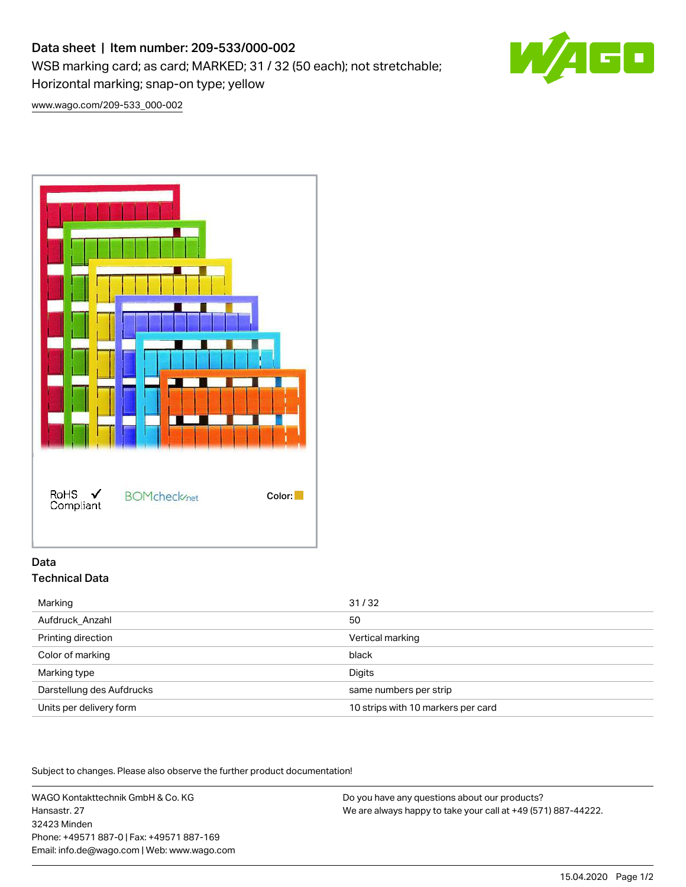# Data sheet | Item number: 209-533/000-002

WSB marking card; as card; MARKED; 31 / 32 (50 each); not stretchable;

Horizontal marking; snap-on type; yellow

[www.wago.com/209-533\\_000-002](http://www.wago.com/209-533_000-002)



# Data Technical Data

| Marking                   | 31/32                              |
|---------------------------|------------------------------------|
| Aufdruck Anzahl           | 50                                 |
| Printing direction        | Vertical marking                   |
| Color of marking          | black                              |
| Marking type              | Digits                             |
| Darstellung des Aufdrucks | same numbers per strip             |
| Units per delivery form   | 10 strips with 10 markers per card |

Subject to changes. Please also observe the further product documentation!

WAGO Kontakttechnik GmbH & Co. KG Hansastr. 27 32423 Minden Phone: +49571 887-0 | Fax: +49571 887-169 Email: info.de@wago.com | Web: www.wago.com

Do you have any questions about our products? We are always happy to take your call at +49 (571) 887-44222.